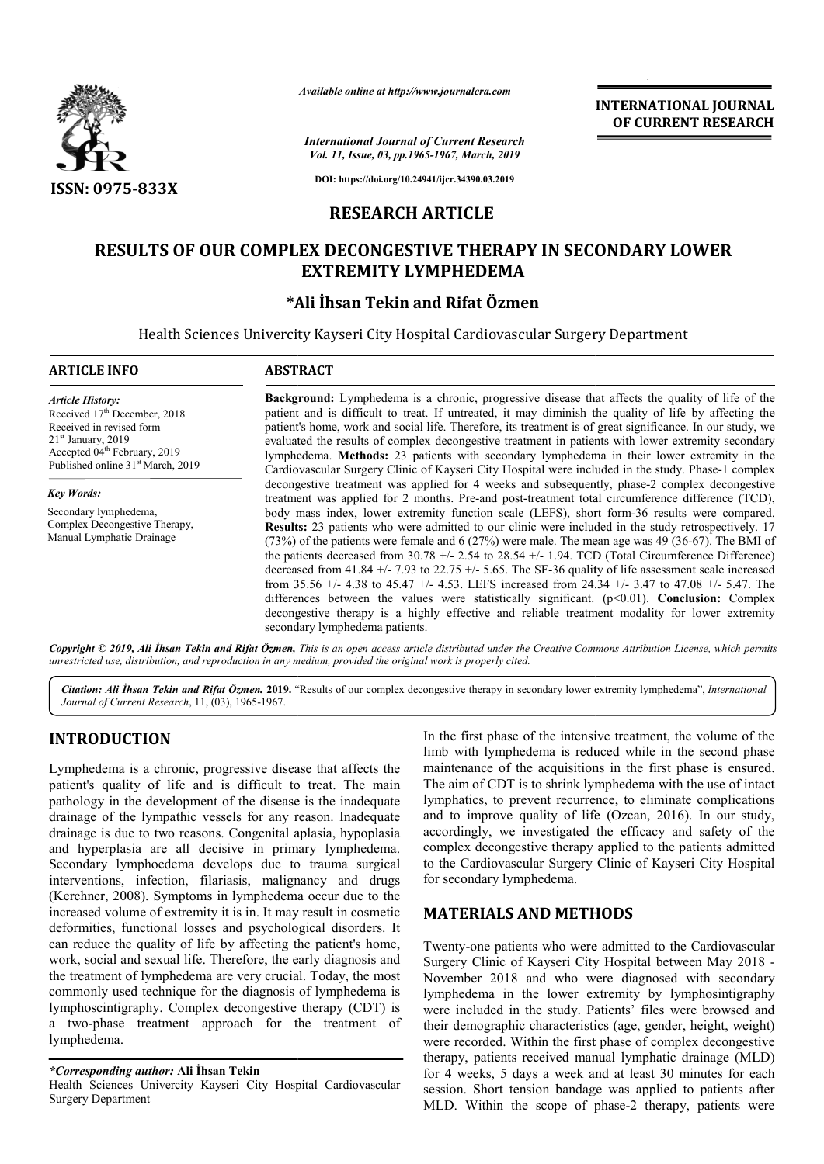

*Available online at http://www.journalcra.com*

*International Journal of Current Research Vol. 11, Issue, 03, pp.1965-1967, March, 2019*

**INTERNATIONAL JOURNAL OF CURRENT RESEARCH**

**DOI: https://doi.org/10.24941/ijcr.34390.03.2019**

### **RESEARCH ARTICLE**

# **RESULTS OF OUR COMPLEX DECONGESTIVE THERAPY IN SECONDARY LOWER DECONGESTIVE THERAPY EXTREMITY LYMPHEDEMA**

## **\*Ali İhsan Tekin Ali and Rifat Özmen**

Health Sciences Univercity Kayseri City Hospital Cardiovascular Surgery Department

| <b>ARTICLE INFO</b>                                                                                                                                                                                                  | <b>ABSTRACT</b>                                                                                                                                                                                                                                                                                                                                                                                                                                                                                                                                                                                                                                                                                                                                                                                                                                                                                                                                                                                                                                                                   |  |  |
|----------------------------------------------------------------------------------------------------------------------------------------------------------------------------------------------------------------------|-----------------------------------------------------------------------------------------------------------------------------------------------------------------------------------------------------------------------------------------------------------------------------------------------------------------------------------------------------------------------------------------------------------------------------------------------------------------------------------------------------------------------------------------------------------------------------------------------------------------------------------------------------------------------------------------------------------------------------------------------------------------------------------------------------------------------------------------------------------------------------------------------------------------------------------------------------------------------------------------------------------------------------------------------------------------------------------|--|--|
| <b>Article History:</b><br>Received 17 <sup>th</sup> December, 2018<br>Received in revised form<br>$21st$ January, 2019<br>Accepted 04 <sup>th</sup> February, 2019<br>Published online 31 <sup>st</sup> March, 2019 | <b>Background:</b> Lymphedema is a chronic, progressive disease that affects the quality of life of the<br>patient and is difficult to treat. If untreated, it may diminish the quality of life by affecting the<br>patient's home, work and social life. Therefore, its treatment is of great significance. In our study, we<br>evaluated the results of complex decongestive treatment in patients with lower extremity secondary<br>lymphedema. Methods: 23 patients with secondary lymphedema in their lower extremity in the<br>Cardiovascular Surgery Clinic of Kayseri City Hospital were included in the study. Phase-1 complex                                                                                                                                                                                                                                                                                                                                                                                                                                           |  |  |
| <b>Key Words:</b><br>Secondary lymphedema,<br>Complex Decongestive Therapy,<br>Manual Lymphatic Drainage                                                                                                             | decongestive treatment was applied for 4 weeks and subsequently, phase-2 complex decongestive<br>treatment was applied for 2 months. Pre-and post-treatment total circumference difference (TCD),<br>body mass index, lower extremity function scale (LEFS), short form-36 results were compared.<br><b>Results:</b> 23 patients who were admitted to our clinic were included in the study retrospectively. 17<br>$(73%)$ of the patients were female and 6 (27%) were male. The mean age was 49 (36-67). The BMI of<br>the patients decreased from 30.78 +/- $2.54$ to 28.54 +/- 1.94. TCD (Total Circumference Difference)<br>decreased from 41.84 +/- 7.93 to 22.75 +/- 5.65. The SF-36 quality of life assessment scale increased<br>from 35.56 +/- 4.38 to 45.47 +/- 4.53. LEFS increased from 24.34 +/- 3.47 to 47.08 +/- 5.47. The<br>differences between the values were statistically significant. $(p<0.01)$ . Conclusion: Complex<br>decongestive therapy is a highly effective and reliable treatment modality for lower extremity<br>secondary lymphedema patients. |  |  |

Copyright © 2019, Ali Ihsan Tekin and Rifat Özmen, This is an open access article distributed under the Creative Commons Attribution License, which permits *unrestricted use, distribution, and reproduction in any medium, provided the original work is properly cited.*

Citation: Ali *İhsan Tekin and Rifat Özmen.* 2019. "Results of our complex decongestive therapy in secondary lower extremity lymphedema", *International Journal of Current Research*, 11, (03), 1965-1967.

# **INTRODUCTION**

Lymphedema is a chronic, progressive disease that affects the patient's quality of life and is difficult to treat. The main pathology in the development of the disease is the inadequate drainage of the lympathic vessels for any reason. Inadequate drainage is due to two reasons. Congenital aplasia, hypoplasia and hyperplasia are all decisive in primary lymphedema. Secondary lymphoedema develops due to trauma surgical interventions, infection, filariasis, malignancy and drugs (Kerchner, 2008). Symptoms in lymphedema occur due to the increased volume of extremity it is in. It may result in cosmetic deformities, functional losses and psychological disorders. It can reduce the quality of life by affecting the patient's home, work, social and sexual life. Therefore, the early diagnosis an the treatment of lymphedema are very crucial. Today, the most commonly used technique for the diagnosis of lymphedema is lymphoscintigraphy. Complex decongestive therapy (CDT) is a two-phase treatment approach for the treatment of lymphedema. ngenital aplasia, hypoplasia<br>in primary lymphedema.<br>ss due to trauma surgical<br>is, malignancy and drugs<br>mphedema occur due to the<br>in. It may result in cosmetic<br>psychological disorders. It<br>ffecting the patient's home,<br>fore, **DDUCTION**<br>
In the first phase of the intensive treatment, the volume of the<br>
dema is a chronic, progressive disease that affects the<br>
imb with lymphedema is reduced while in the second phase<br>
quality of life and is diffic

*\*Corresponding author:* **Ali İhsan Tekin** 

Health Sciences Univercity Kayseri City Hospital Cardiovascular Surgery Department

limb with lymphedema is reduced while in the second phase maintenance of the acquisitions in the first phase is ensured. The aim of CDT is to shrink lymphedema with the use of intact lymphatics, to prevent recurrence, to eliminate complications In the first phase of the intensive treatment, the volume of the limb with lymphedema is reduced while in the second phase maintenance of the acquisitions in the first phase is ensured. The aim of CDT is to shrink lymphede accordingly, we investigated the efficacy and safety of the complex decongestive therapy applied to the patients admitted accordingly, we investigated the efficacy and safety of the complex decongestive therapy applied to the patients admitted to the Cardiovascular Surgery Clinic of Kayseri City Hospital for secondary lymphedema.

## **MATERIALS AND METHODS METHODS**

Twenty-one patients who were admitted to the Cardiovascular Surgery Clinic of Kayseri City Hospital between May 2018 -November 2018 and who were diagnosed with secondary lymphedema in the lower extremity by lymphosintigraphy were included in the study. Patients' files were browsed and their demographic characteristics (age, gender, height, weight) were recorded. Within the first phase of complex decongestive therapy, patients received manual lymphatic drainage (MLD) for 4 weeks, 5 days a week and at least 30 minutes for each session. Short tension bandage was applied to patients after MLD. Within the scope of phase-2 therapy, patients were phedema in the lower extremity by lymphosintigraphy<br>e included in the study. Patients' files were browsed and<br>r demographic characteristics (age, gender, height, weight)<br>e recorded. Within the first phase of complex decong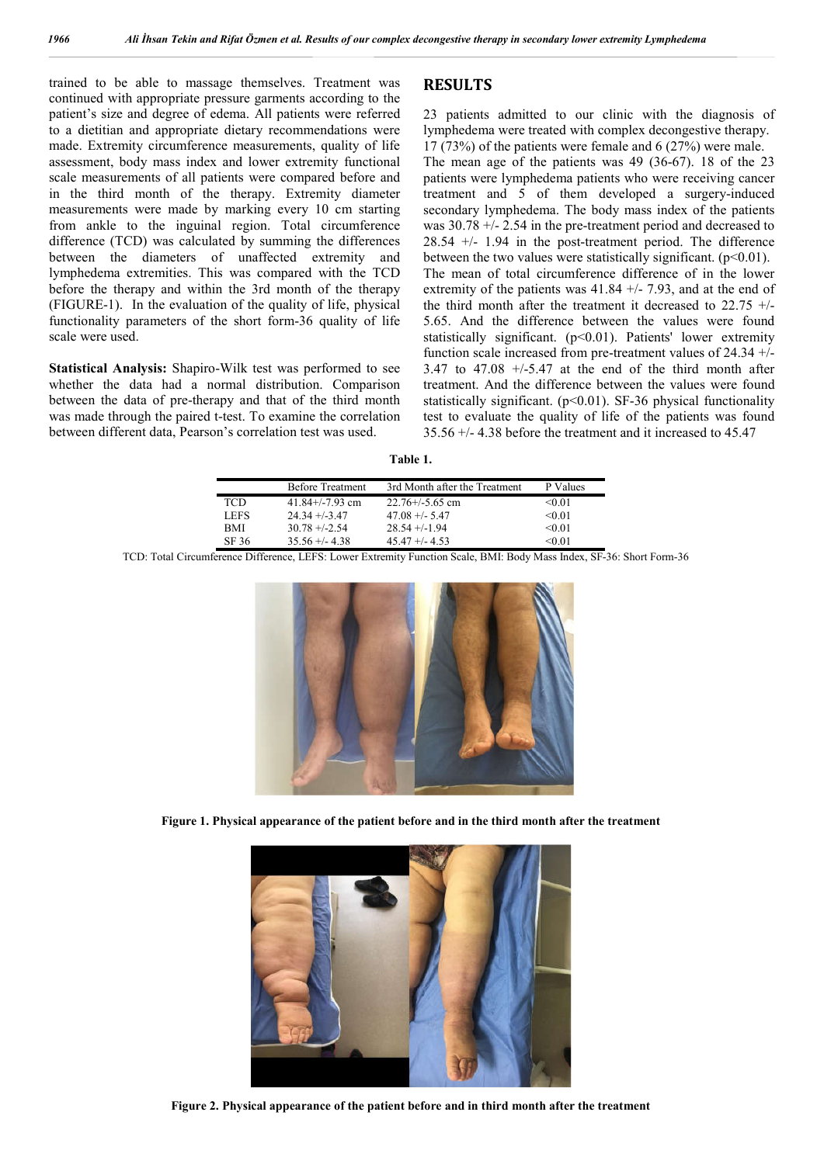trained to be able to massage themselves. Treatment was continued with appropriate pressure garments according to the patient's size and degree of edema. All patients were referred to a dietitian and appropriate dietary recommendations were made. Extremity circumference measurements, quality of life assessment, body mass index and lower extremity functional scale measurements of all patients were compared before and in the third month of the therapy. Extremity diameter measurements were made by marking every 10 cm starting from ankle to the inguinal region. Total circumference difference (TCD) was calculated by summing the differences between the diameters of unaffected extremity and lymphedema extremities. This was compared with the TCD before the therapy and within the 3rd month of the therapy (FIGURE-1). In the evaluation of the quality of life, physical functionality parameters of the short form-36 quality of life scale were used.

**Statistical Analysis:** Shapiro-Wilk test was performed to see whether the data had a normal distribution. Comparison between the data of pre-therapy and that of the third month was made through the paired t-test. To examine the correlation between different data, Pearson's correlation test was used.

#### **RESULTS**

23 patients admitted to our clinic with the diagnosis of lymphedema were treated with complex decongestive therapy. 17 (73%) of the patients were female and 6 (27%) were male. The mean age of the patients was 49 (36-67). 18 of the 23 patients were lymphedema patients who were receiving cancer treatment and 5 of them developed a surgery-induced secondary lymphedema. The body mass index of the patients was 30.78 +/- 2.54 in the pre-treatment period and decreased to 28.54 +/- 1.94 in the post-treatment period. The difference between the two values were statistically significant.  $(p<0.01)$ . The mean of total circumference difference of in the lower extremity of the patients was  $41.84 +/- 7.93$ , and at the end of the third month after the treatment it decreased to  $22.75 +/-$ 5.65. And the difference between the values were found statistically significant.  $(p<0.01)$ . Patients' lower extremity function scale increased from pre-treatment values of 24.34 +/-  $3.47$  to  $47.08$  +/-5.47 at the end of the third month after treatment. And the difference between the values were found statistically significant. ( $p<0.01$ ). SF-36 physical functionality test to evaluate the quality of life of the patients was found 35.56 +/- 4.38 before the treatment and it increased to 45.47

| `able<br>٠ |
|------------|
|------------|

|             | <b>Before Treatment</b> | 3rd Month after the Treatment | P Values  |
|-------------|-------------------------|-------------------------------|-----------|
| TCD         | $41.84 + (-7.93)$ cm    | $22.76 + (-5.65)$ cm          | $<$ 0 0 1 |
| <b>LEFS</b> | $24.34 + (-3.47)$       | $47.08 + - 5.47$              | $<$ 0 0 1 |
| <b>BMI</b>  | $30.78 + -2.54$         | $28.54 + (-1.94)$             | $<$ 0 0 1 |
| SF 36       | $35.56 + - 4.38$        | $45.47 + - 4.53$              | <0.01     |

TCD: Total Circumference Difference, LEFS: Lower Extremity Function Scale, BMI: Body Mass Index, SF-36: Short Form-36



**Figure 1. Physical appearance of the patient before and in the third month after the treatment**



**Figure 2. Physical appearance of the patient before and in third month after the treatment**